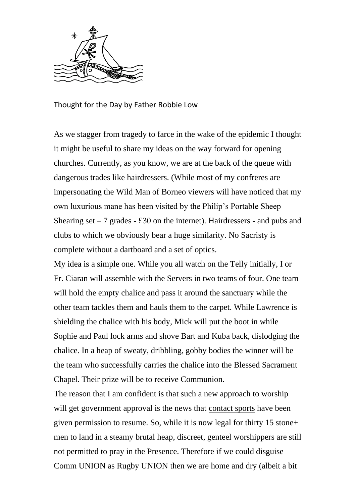

Thought for the Day by Father Robbie Low

As we stagger from tragedy to farce in the wake of the epidemic I thought it might be useful to share my ideas on the way forward for opening churches. Currently, as you know, we are at the back of the queue with dangerous trades like hairdressers. (While most of my confreres are impersonating the Wild Man of Borneo viewers will have noticed that my own luxurious mane has been visited by the Philip's Portable Sheep Shearing set  $-7$  grades  $-$  £30 on the internet). Hairdressers - and pubs and clubs to which we obviously bear a huge similarity. No Sacristy is complete without a dartboard and a set of optics.

My idea is a simple one. While you all watch on the Telly initially, I or Fr. Ciaran will assemble with the Servers in two teams of four. One team will hold the empty chalice and pass it around the sanctuary while the other team tackles them and hauls them to the carpet. While Lawrence is shielding the chalice with his body, Mick will put the boot in while Sophie and Paul lock arms and shove Bart and Kuba back, dislodging the chalice. In a heap of sweaty, dribbling, gobby bodies the winner will be the team who successfully carries the chalice into the Blessed Sacrament Chapel. Their prize will be to receive Communion.

The reason that I am confident is that such a new approach to worship will get government approval is the news that contact sports have been given permission to resume. So, while it is now legal for thirty 15 stone+ men to land in a steamy brutal heap, discreet, genteel worshippers are still not permitted to pray in the Presence. Therefore if we could disguise Comm UNION as Rugby UNION then we are home and dry (albeit a bit